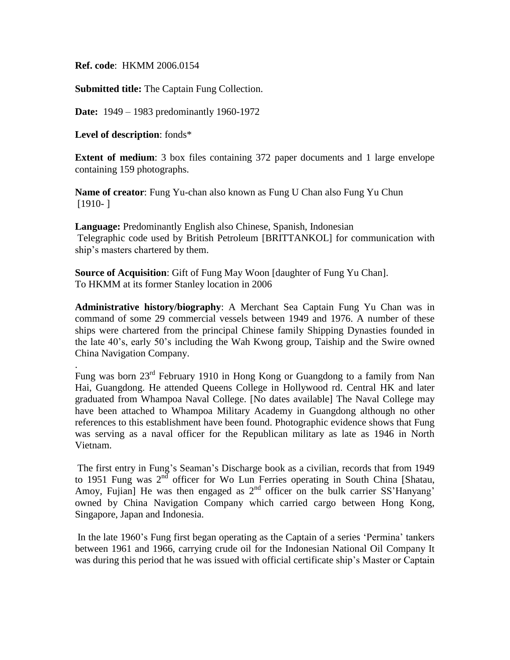**Ref. code**: HKMM 2006.0154

**Submitted title:** The Captain Fung Collection.

**Date:** 1949 – 1983 predominantly 1960-1972

**Level of description**: fonds\*

.

**Extent of medium**: 3 box files containing 372 paper documents and 1 large envelope containing 159 photographs.

**Name of creator**: Fung Yu-chan also known as Fung U Chan also Fung Yu Chun  $[1910-]$ 

**Language:** Predominantly English also Chinese, Spanish, Indonesian Telegraphic code used by British Petroleum [BRITTANKOL] for communication with ship's masters chartered by them.

**Source of Acquisition**: Gift of Fung May Woon [daughter of Fung Yu Chan]. To HKMM at its former Stanley location in 2006

**Administrative history/biography**: A Merchant Sea Captain Fung Yu Chan was in command of some 29 commercial vessels between 1949 and 1976. A number of these ships were chartered from the principal Chinese family Shipping Dynasties founded in the late 40's, early 50's including the Wah Kwong group, Taiship and the Swire owned China Navigation Company.

Fung was born 23<sup>rd</sup> February 1910 in Hong Kong or Guangdong to a family from Nan Hai, Guangdong. He attended Queens College in Hollywood rd. Central HK and later graduated from Whampoa Naval College. [No dates available] The Naval College may have been attached to Whampoa Military Academy in Guangdong although no other references to this establishment have been found. Photographic evidence shows that Fung was serving as a naval officer for the Republican military as late as 1946 in North Vietnam.

The first entry in Fung's Seaman's Discharge book as a civilian, records that from 1949 to 1951 Fung was 2<sup>nd</sup> officer for Wo Lun Ferries operating in South China [Shatau, Amoy, Fujian] He was then engaged as  $2<sup>nd</sup>$  officer on the bulk carrier SS'Hanyang' owned by China Navigation Company which carried cargo between Hong Kong, Singapore, Japan and Indonesia.

In the late 1960's Fung first began operating as the Captain of a series 'Permina' tankers between 1961 and 1966, carrying crude oil for the Indonesian National Oil Company It was during this period that he was issued with official certificate ship's Master or Captain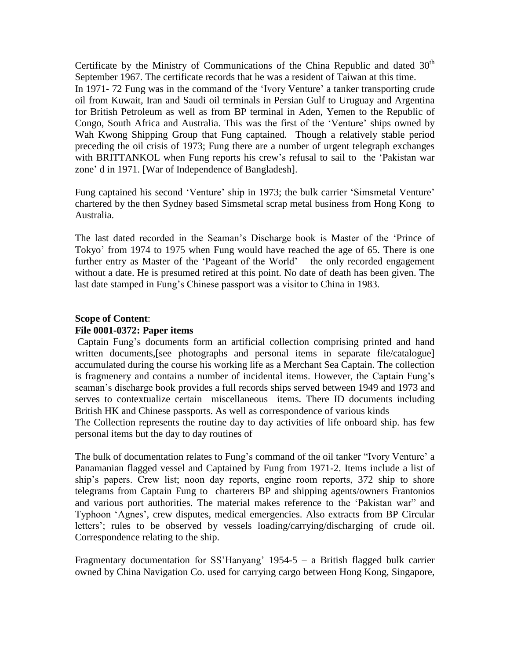Certificate by the Ministry of Communications of the China Republic and dated  $30<sup>th</sup>$ September 1967. The certificate records that he was a resident of Taiwan at this time. In 1971- 72 Fung was in the command of the 'Ivory Venture' a tanker transporting crude oil from Kuwait, Iran and Saudi oil terminals in Persian Gulf to Uruguay and Argentina for British Petroleum as well as from BP terminal in Aden, Yemen to the Republic of Congo, South Africa and Australia. This was the first of the 'Venture' ships owned by Wah Kwong Shipping Group that Fung captained. Though a relatively stable period preceding the oil crisis of 1973; Fung there are a number of urgent telegraph exchanges with BRITTANKOL when Fung reports his crew's refusal to sail to the 'Pakistan war zone' d in 1971. [War of Independence of Bangladesh].

Fung captained his second 'Venture' ship in 1973; the bulk carrier 'Simsmetal Venture' chartered by the then Sydney based Simsmetal scrap metal business from Hong Kong to Australia.

The last dated recorded in the Seaman's Discharge book is Master of the 'Prince of Tokyo' from 1974 to 1975 when Fung would have reached the age of 65. There is one further entry as Master of the 'Pageant of the World' – the only recorded engagement without a date. He is presumed retired at this point. No date of death has been given. The last date stamped in Fung's Chinese passport was a visitor to China in 1983.

## **Scope of Content**:

## **File 0001-0372: Paper items**

Captain Fung's documents form an artificial collection comprising printed and hand written documents, [see photographs and personal items in separate file/catalogue] accumulated during the course his working life as a Merchant Sea Captain. The collection is fragmenery and contains a number of incidental items. However, the Captain Fung's seaman's discharge book provides a full records ships served between 1949 and 1973 and serves to contextualize certain miscellaneous items. There ID documents including British HK and Chinese passports. As well as correspondence of various kinds

The Collection represents the routine day to day activities of life onboard ship. has few personal items but the day to day routines of

The bulk of documentation relates to Fung's command of the oil tanker "Ivory Venture' a Panamanian flagged vessel and Captained by Fung from 1971-2. Items include a list of ship's papers. Crew list; noon day reports, engine room reports, 372 ship to shore telegrams from Captain Fung to charterers BP and shipping agents/owners Frantonios and various port authorities. The material makes reference to the 'Pakistan war" and Typhoon 'Agnes', crew disputes, medical emergencies. Also extracts from BP Circular letters'; rules to be observed by vessels loading/carrying/discharging of crude oil. Correspondence relating to the ship.

Fragmentary documentation for SS'Hanyang'  $1954-5 - a$  British flagged bulk carrier owned by China Navigation Co. used for carrying cargo between Hong Kong, Singapore,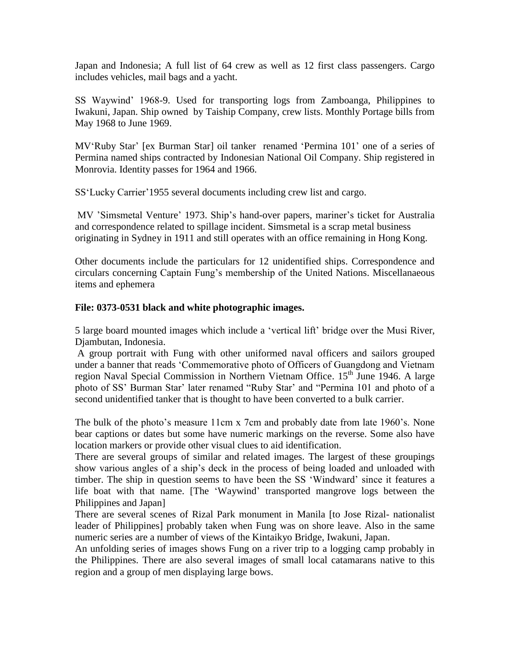Japan and Indonesia; A full list of 64 crew as well as 12 first class passengers. Cargo includes vehicles, mail bags and a yacht.

SS Waywind' 1968-9. Used for transporting logs from Zamboanga, Philippines to Iwakuni, Japan. Ship owned by Taiship Company, crew lists. Monthly Portage bills from May 1968 to June 1969.

MV'Ruby Star' [ex Burman Star] oil tanker renamed 'Permina 101' one of a series of Permina named ships contracted by Indonesian National Oil Company. Ship registered in Monrovia. Identity passes for 1964 and 1966.

SS'Lucky Carrier'1955 several documents including crew list and cargo.

MV 'Simsmetal Venture' 1973. Ship's hand-over papers, mariner's ticket for Australia and correspondence related to spillage incident. Simsmetal is a scrap metal business originating in Sydney in 1911 and still operates with an office remaining in Hong Kong.

Other documents include the particulars for 12 unidentified ships. Correspondence and circulars concerning Captain Fung's membership of the United Nations. Miscellanaeous items and ephemera

## **File: 0373-0531 black and white photographic images.**

5 large board mounted images which include a 'vertical lift' bridge over the Musi River, Djambutan, Indonesia.

A group portrait with Fung with other uniformed naval officers and sailors grouped under a banner that reads 'Commemorative photo of Officers of Guangdong and Vietnam region Naval Special Commission in Northern Vietnam Office. 15<sup>th</sup> June 1946. A large photo of SS' Burman Star' later renamed "Ruby Star' and "Permina 101 and photo of a second unidentified tanker that is thought to have been converted to a bulk carrier.

The bulk of the photo's measure 11cm x 7cm and probably date from late 1960's. None bear captions or dates but some have numeric markings on the reverse. Some also have location markers or provide other visual clues to aid identification.

There are several groups of similar and related images. The largest of these groupings show various angles of a ship's deck in the process of being loaded and unloaded with timber. The ship in question seems to have been the SS 'Windward' since it features a life boat with that name. [The 'Waywind' transported mangrove logs between the Philippines and Japan]

There are several scenes of Rizal Park monument in Manila [to Jose Rizal- nationalist leader of Philippines] probably taken when Fung was on shore leave. Also in the same numeric series are a number of views of the Kintaikyo Bridge, Iwakuni, Japan.

An unfolding series of images shows Fung on a river trip to a logging camp probably in the Philippines. There are also several images of small local catamarans native to this region and a group of men displaying large bows.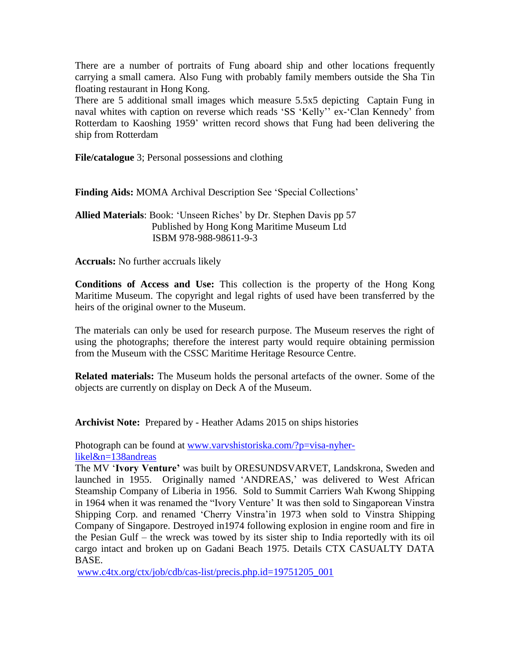There are a number of portraits of Fung aboard ship and other locations frequently carrying a small camera. Also Fung with probably family members outside the Sha Tin floating restaurant in Hong Kong.

There are 5 additional small images which measure 5.5x5 depicting Captain Fung in naval whites with caption on reverse which reads 'SS 'Kelly'' ex-'Clan Kennedy' from Rotterdam to Kaoshing 1959' written record shows that Fung had been delivering the ship from Rotterdam

**File/catalogue** 3; Personal possessions and clothing

**Finding Aids:** MOMA Archival Description See 'Special Collections'

**Allied Materials**: Book: 'Unseen Riches' by Dr. Stephen Davis pp 57 Published by Hong Kong Maritime Museum Ltd ISBM 978-988-98611-9-3

**Accruals:** No further accruals likely

**Conditions of Access and Use:** This collection is the property of the Hong Kong Maritime Museum. The copyright and legal rights of used have been transferred by the heirs of the original owner to the Museum.

The materials can only be used for research purpose. The Museum reserves the right of using the photographs; therefore the interest party would require obtaining permission from the Museum with the CSSC Maritime Heritage Resource Centre.

**Related materials:** The Museum holds the personal artefacts of the owner. Some of the objects are currently on display on Deck A of the Museum.

**Archivist Note:** Prepared by - Heather Adams 2015 on ships histories

Photograph can be found at [www.varvshistoriska.com/?p=visa-nyher](http://www.varvshistoriska.com/?p=visa-nyher-likel&n=138andreas)[likel&n=138andreas](http://www.varvshistoriska.com/?p=visa-nyher-likel&n=138andreas)

The MV '**Ivory Venture'** was built by ORESUNDSVARVET, Landskrona, Sweden and launched in 1955. Originally named 'ANDREAS,' was delivered to West African Steamship Company of Liberia in 1956. Sold to Summit Carriers Wah Kwong Shipping in 1964 when it was renamed the "Ivory Venture' It was then sold to Singaporean Vinstra Shipping Corp. and renamed 'Cherry Vinstra'in 1973 when sold to Vinstra Shipping Company of Singapore. Destroyed in1974 following explosion in engine room and fire in the Pesian Gulf – the wreck was towed by its sister ship to India reportedly with its oil cargo intact and broken up on Gadani Beach 1975. Details CTX CASUALTY DATA BASE.

[www.c4tx.org/ctx/job/cdb/cas-list/precis.php.id=19751205\\_001](http://www.c4tx.org/ctx/job/cdb/cas-list/precis.php.id=19751205_001)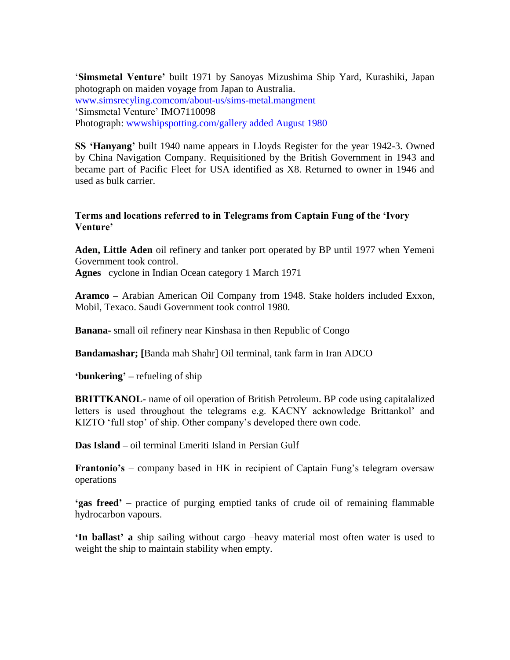'**Simsmetal Venture'** built 1971 by Sanoyas Mizushima Ship Yard, Kurashiki, Japan photograph on maiden voyage from Japan to Australia. [www.simsrecyling.comcom/about-us/sims-metal.mangment](http://www.simsrecyling.comcom/about-us/sims-metal.mangment) 'Simsmetal Venture' IMO7110098 Photograph: wwwshipspotting.com/gallery added August 1980

**SS 'Hanyang'** built 1940 name appears in Lloyds Register for the year 1942-3. Owned by China Navigation Company. Requisitioned by the British Government in 1943 and became part of Pacific Fleet for USA identified as X8. Returned to owner in 1946 and used as bulk carrier.

## **Terms and locations referred to in Telegrams from Captain Fung of the 'Ivory Venture'**

**Aden, Little Aden** oil refinery and tanker port operated by BP until 1977 when Yemeni Government took control.

**Agnes** cyclone in Indian Ocean category 1 March 1971

**Aramco –** Arabian American Oil Company from 1948. Stake holders included Exxon, Mobil, Texaco. Saudi Government took control 1980.

**Banana-** small oil refinery near Kinshasa in then Republic of Congo

**Bandamashar; [**Banda mah Shahr] Oil terminal, tank farm in Iran ADCO

**'bunkering' –** refueling of ship

**BRITTKANOL-** name of oil operation of British Petroleum. BP code using capitalalized letters is used throughout the telegrams e.g. KACNY acknowledge Brittankol' and KIZTO 'full stop' of ship. Other company's developed there own code.

**Das Island –** oil terminal Emeriti Island in Persian Gulf

**Frantonio's** – company based in HK in recipient of Captain Fung's telegram oversaw operations

**'gas freed'** – practice of purging emptied tanks of crude oil of remaining flammable hydrocarbon vapours.

**'In ballast' a** ship sailing without cargo –heavy material most often water is used to weight the ship to maintain stability when empty.